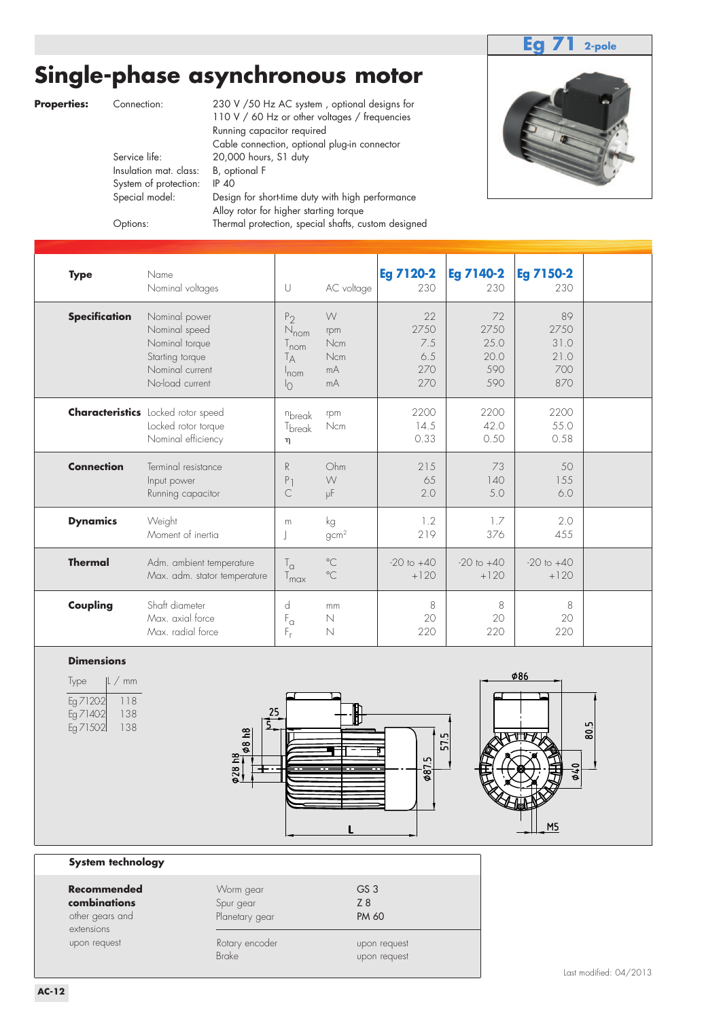### **Eg 71 2-pole**

## **Single-phase asynchronous motor**

**Properties:** Connection: 230 V / 50 Hz AC system, optional designs for

110 V / 60 Hz or other voltages / frequencies Running capacitor required Cable connection, optional plug-in connector<br>Service life: 20,000 hours, S1 duty 20,000 hours, S1 duty Insulation mat. class: B, optional F System of protection: IP 40 Special model: Design for short-time duty with high performance Alloy rotor for higher starting torque Options: Thermal protection, special shafts, custom designed

| <b>Type</b>          | Name<br>Nominal voltages                                                                                  | $\cup$                                                                                                   | AC voltage                                | <b>Eg 7120-2</b><br>230                | <b>Eg 7140-2</b><br>230                  | <b>Eg 7150-2</b><br>230                  |  |
|----------------------|-----------------------------------------------------------------------------------------------------------|----------------------------------------------------------------------------------------------------------|-------------------------------------------|----------------------------------------|------------------------------------------|------------------------------------------|--|
| <b>Specification</b> | Nominal power<br>Nominal speed<br>Nominal torque<br>Starting torque<br>Nominal current<br>No-load current | $P_2$<br>$N_{\text{nom}}$<br>$\frac{1}{2}$ nom<br>$\mathsf{I}_{\mathsf{A}}$<br>$ln$ cm<br>$\overline{1}$ | W<br>rpm<br><b>Ncm</b><br>Ncm<br>mA<br>mA | 22<br>2750<br>7.5<br>6.5<br>270<br>270 | 72<br>2750<br>25.0<br>20.0<br>590<br>590 | 89<br>2750<br>31.0<br>21.0<br>700<br>870 |  |
|                      | <b>Characteristics</b> Locked rotor speed<br>Locked rotor torque<br>Nominal efficiency                    | nbreak<br>T <sub>break</sub><br>η                                                                        | rpm<br>Ncm                                | 2200<br>14.5<br>0.33                   | 2200<br>42.0<br>0.50                     | 2200<br>55.0<br>0.58                     |  |
| <b>Connection</b>    | Terminal resistance<br>Input power<br>Running capacitor                                                   | R<br>P<br>C                                                                                              | Ohm<br>W<br>μF                            | 215<br>65<br>2.0                       | 73<br>140<br>5.0                         | 50<br>155<br>6.0                         |  |
| <b>Dynamics</b>      | Weight<br>Moment of inertia                                                                               | m                                                                                                        | kg<br>gcm <sup>2</sup>                    | 1.2<br>219                             | 1.7<br>376                               | 2.0<br>455                               |  |
| <b>Thermal</b>       | Adm. ambient temperature<br>Max. adm. stator temperature                                                  | $T_{\alpha}$<br>$T_{\text{max}}$                                                                         | $^{\circ}$ C<br>$^{\circ}$ C              | $-20$ to $+40$<br>$+120$               | $-20$ to $+40$<br>$+120$                 | $-20$ to $+40$<br>$+120$                 |  |
| Coupling             | Shaft diameter<br>Max. axial force<br>Max. radial force                                                   | d<br>$\mathsf{F}_\alpha$<br>F,                                                                           | mm<br>$\mathbb N$<br>$\mathbb N$          | 8<br>20<br>220                         | 8<br>20<br>220                           | 8<br>20<br>220                           |  |

#### **Dimensions**

| Type<br>mm<br> L / |                    | <b>086</b>                 |
|--------------------|--------------------|----------------------------|
| Eg 71202<br>118    |                    |                            |
| 138<br>Eg 71402    | 25                 |                            |
| 138<br>Eg 71502    | $\mathbf{\hat{e}}$ | LO <sub>1</sub><br>80<br>L |
|                    | $\frac{8}{6}$      | 冖<br>S                     |
|                    | $\tilde{e}$        | ru.<br>$\circ$             |
|                    | $\phi$ 28          | $\frac{8}{6}$<br>Θ         |
|                    |                    |                            |
|                    |                    |                            |
|                    |                    |                            |
|                    |                    | M5                         |

#### **System technology**

| Recommended<br>combinations<br>other gears and<br>extensions | Worm gear<br>Spur gear<br>Planetary gear | GS <sub>3</sub><br>Z 8<br><b>PM 60</b> |
|--------------------------------------------------------------|------------------------------------------|----------------------------------------|
| upon request                                                 | Rotary encoder<br><b>Brake</b>           | upon request<br>upon request           |